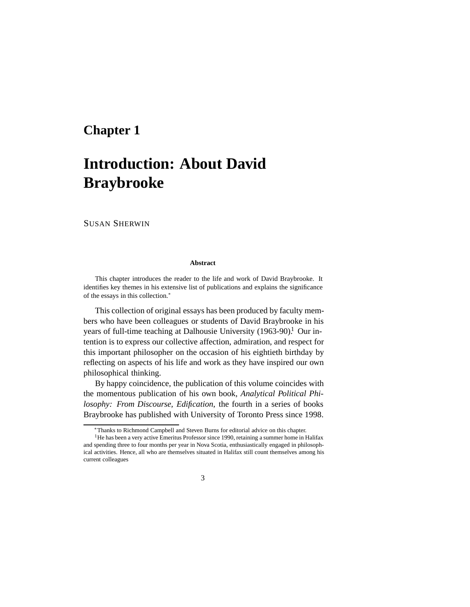## **Chapter 1**

# **Introduction: About David Braybrooke**

SUSAN SHERWIN

#### **Abstract**

This chapter introduces the reader to the life and work of David Braybrooke. It identifies key themes in his extensive list of publications and explains the significance of the essays in this collection.<sup>∗</sup>

This collection of original essays has been produced by faculty members who have been colleagues or students of David Braybrooke in his years of full-time teaching at Dalhousie University  $(1963-90)$ <sup>1</sup>. Our intention is to express our collective affection, admiration, and respect for this important philosopher on the occasion of his eightieth birthday by reflecting on aspects of his life and work as they have inspired our own philosophical thinking.

By happy coincidence, the publication of this volume coincides with the momentous publication of his own book, *Analytical Political Philosophy: From Discourse, Edification*, the fourth in a series of books Braybrooke has published with University of Toronto Press since 1998.

<sup>&</sup>lt;sup>1</sup>He has been a very active Emeritus Professor since 1990, retaining a summer home in Halifax and spending three to four months per year in Nova Scotia, enthusiastically engaged in philosophical activities. Hence, all who are themselves situated in Halifax still count themselves among his current colleagues



<sup>∗</sup>Thanks to Richmond Campbell and Steven Burns for editorial advice on this chapter.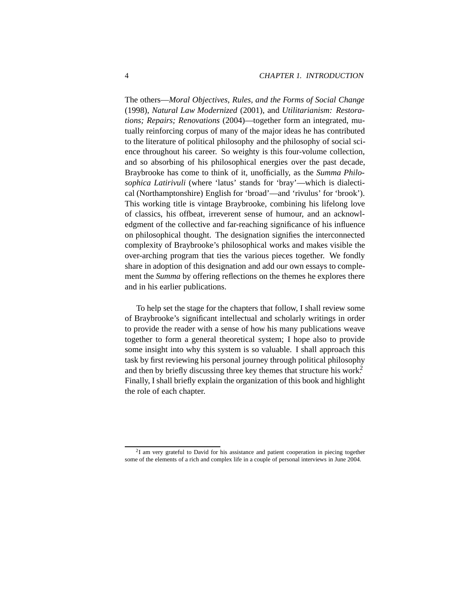The others—*Moral Objectives, Rules, and the Forms of Social Change* (1998), *Natural Law Modernized* (2001), and *Utilitarianism: Restorations; Repairs; Renovations* (2004)—together form an integrated, mutually reinforcing corpus of many of the major ideas he has contributed to the literature of political philosophy and the philosophy of social science throughout his career. So weighty is this four-volume collection, and so absorbing of his philosophical energies over the past decade, Braybrooke has come to think of it, unofficially, as the *Summa Philosophica Latirivuli* (where 'latus' stands for 'bray'—which is dialectical (Northamptonshire) English for 'broad'—and 'rivulus' for 'brook'). This working title is vintage Braybrooke, combining his lifelong love of classics, his offbeat, irreverent sense of humour, and an acknowledgment of the collective and far-reaching significance of his influence on philosophical thought. The designation signifies the interconnected complexity of Braybrooke's philosophical works and makes visible the over-arching program that ties the various pieces together. We fondly share in adoption of this designation and add our own essays to complement the *Summa* by offering reflections on the themes he explores there and in his earlier publications.

To help set the stage for the chapters that follow, I shall review some of Braybrooke's significant intellectual and scholarly writings in order to provide the reader with a sense of how his many publications weave together to form a general theoretical system; I hope also to provide some insight into why this system is so valuable. I shall approach this task by first reviewing his personal journey through political philosophy and then by briefly discussing three key themes that structure his work.<sup>2</sup> Finally, I shall briefly explain the organization of this book and highlight the role of each chapter.

<sup>2</sup>I am very grateful to David for his assistance and patient cooperation in piecing together some of the elements of a rich and complex life in a couple of personal interviews in June 2004.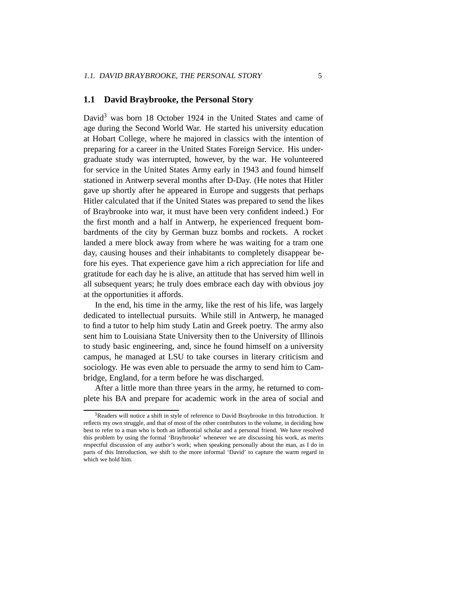### **1.1 David Braybrooke, the Personal Story**

David<sup>3</sup> was born 18 October 1924 in the United States and came of age during the Second World War. He started his university education at Hobart College, where he majored in classics with the intention of preparing for a career in the United States Foreign Service. His undergraduate study was interrupted, however, by the war. He volunteered for service in the United States Army early in 1943 and found himself stationed in Antwerp several months after D-Day. (He notes that Hitler gave up shortly after he appeared in Europe and suggests that perhaps Hitler calculated that if the United States was prepared to send the likes of Braybrooke into war, it must have been very confident indeed.) For the first month and a half in Antwerp, he experienced frequent bombardments of the city by German buzz bombs and rockets. A rocket landed a mere block away from where he was waiting for a tram one day, causing houses and their inhabitants to completely disappear before his eyes. That experience gave him a rich appreciation for life and gratitude for each day he is alive, an attitude that has served him well in all subsequent years; he truly does embrace each day with obvious joy at the opportunities it affords.

In the end, his time in the army, like the rest of his life, was largely dedicated to intellectual pursuits. While still in Antwerp, he managed to find a tutor to help him study Latin and Greek poetry. The army also sent him to Louisiana State University then to the University of Illinois to study basic engineering, and, since he found himself on a university campus, he managed at LSU to take courses in literary criticism and sociology. He was even able to persuade the army to send him to Cambridge, England, for a term before he was discharged.

After a little more than three years in the army, he returned to complete his BA and prepare for academic work in the area of social and

 $3$ Readers will notice a shift in style of reference to David Braybrooke in this Introduction. It reflects my own struggle, and that of most of the other contributors to the volume, in deciding how best to refer to a man who is both an influential scholar and a personal friend. We have resolved this problem by using the formal 'Braybrooke' whenever we are discussing his work, as merits respectful discussion of any author's work; when speaking personally about the man, as I do in parts of this Introduction, we shift to the more informal 'David' to capture the warm regard in which we hold him.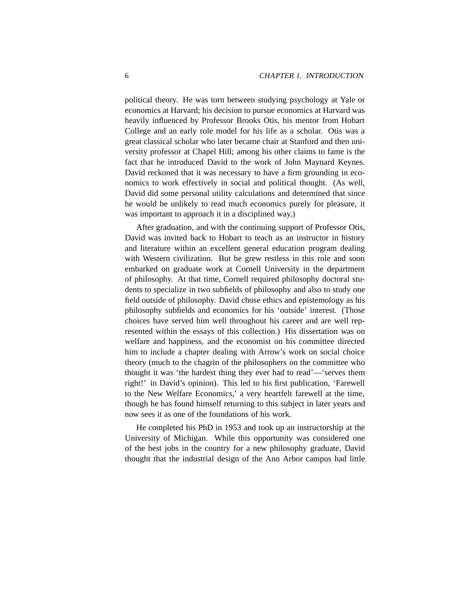political theory. He was torn between studying psychology at Yale or economics at Harvard; his decision to pursue economics at Harvard was heavily influenced by Professor Brooks Otis, his mentor from Hobart College and an early role model for his life as a scholar. Otis was a great classical scholar who later became chair at Stanford and then university professor at Chapel Hill; among his other claims to fame is the fact that he introduced David to the work of John Maynard Keynes. David reckoned that it was necessary to have a firm grounding in economics to work effectively in social and political thought. (As well, David did some personal utility calculations and determined that since he would be unlikely to read much economics purely for pleasure, it was important to approach it in a disciplined way.)

After graduation, and with the continuing support of Professor Otis, David was invited back to Hobart to teach as an instructor in history and literature within an excellent general education program dealing with Western civilization. But he grew restless in this role and soon embarked on graduate work at Cornell University in the department of philosophy. At that time, Cornell required philosophy doctoral students to specialize in two subfields of philosophy and also to study one field outside of philosophy. David chose ethics and epistemology as his philosophy subfields and economics for his 'outside' interest. (Those choices have served him well throughout his career and are well represented within the essays of this collection.) His dissertation was on welfare and happiness, and the economist on his committee directed him to include a chapter dealing with Arrow's work on social choice theory (much to the chagrin of the philosophers on the committee who thought it was 'the hardest thing they ever had to read'—'serves them right!' in David's opinion). This led to his first publication, 'Farewell to the New Welfare Economics,' a very heartfelt farewell at the time, though he has found himself returning to this subject in later years and now sees it as one of the foundations of his work.

He completed his PhD in 1953 and took up an instructorship at the University of Michigan. While this opportunity was considered one of the best jobs in the country for a new philosophy graduate, David thought that the industrial design of the Ann Arbor campus had little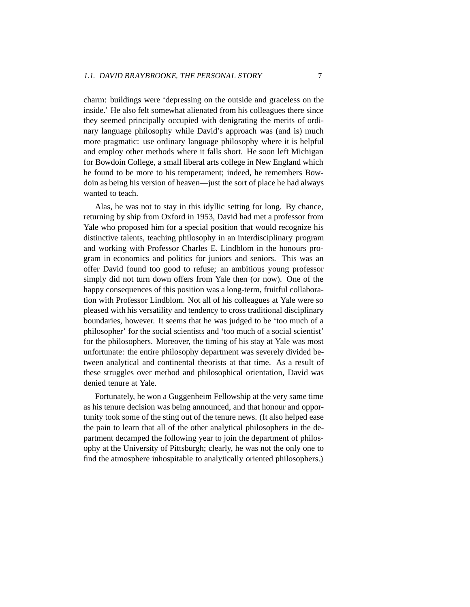charm: buildings were 'depressing on the outside and graceless on the inside.' He also felt somewhat alienated from his colleagues there since they seemed principally occupied with denigrating the merits of ordinary language philosophy while David's approach was (and is) much more pragmatic: use ordinary language philosophy where it is helpful and employ other methods where it falls short. He soon left Michigan for Bowdoin College, a small liberal arts college in New England which he found to be more to his temperament; indeed, he remembers Bowdoin as being his version of heaven—just the sort of place he had always wanted to teach.

Alas, he was not to stay in this idyllic setting for long. By chance, returning by ship from Oxford in 1953, David had met a professor from Yale who proposed him for a special position that would recognize his distinctive talents, teaching philosophy in an interdisciplinary program and working with Professor Charles E. Lindblom in the honours program in economics and politics for juniors and seniors. This was an offer David found too good to refuse; an ambitious young professor simply did not turn down offers from Yale then (or now). One of the happy consequences of this position was a long-term, fruitful collaboration with Professor Lindblom. Not all of his colleagues at Yale were so pleased with his versatility and tendency to cross traditional disciplinary boundaries, however. It seems that he was judged to be 'too much of a philosopher' for the social scientists and 'too much of a social scientist' for the philosophers. Moreover, the timing of his stay at Yale was most unfortunate: the entire philosophy department was severely divided between analytical and continental theorists at that time. As a result of these struggles over method and philosophical orientation, David was denied tenure at Yale.

Fortunately, he won a Guggenheim Fellowship at the very same time as his tenure decision was being announced, and that honour and opportunity took some of the sting out of the tenure news. (It also helped ease the pain to learn that all of the other analytical philosophers in the department decamped the following year to join the department of philosophy at the University of Pittsburgh; clearly, he was not the only one to find the atmosphere inhospitable to analytically oriented philosophers.)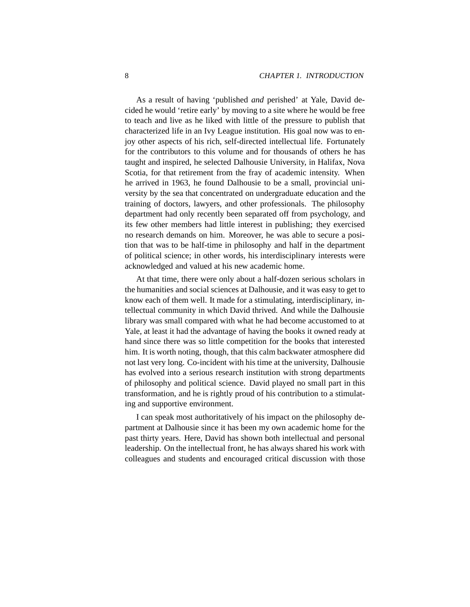As a result of having 'published *and* perished' at Yale, David decided he would 'retire early' by moving to a site where he would be free to teach and live as he liked with little of the pressure to publish that characterized life in an Ivy League institution. His goal now was to enjoy other aspects of his rich, self-directed intellectual life. Fortunately for the contributors to this volume and for thousands of others he has taught and inspired, he selected Dalhousie University, in Halifax, Nova Scotia, for that retirement from the fray of academic intensity. When he arrived in 1963, he found Dalhousie to be a small, provincial university by the sea that concentrated on undergraduate education and the training of doctors, lawyers, and other professionals. The philosophy department had only recently been separated off from psychology, and its few other members had little interest in publishing; they exercised no research demands on him. Moreover, he was able to secure a position that was to be half-time in philosophy and half in the department of political science; in other words, his interdisciplinary interests were acknowledged and valued at his new academic home.

At that time, there were only about a half-dozen serious scholars in the humanities and social sciences at Dalhousie, and it was easy to get to know each of them well. It made for a stimulating, interdisciplinary, intellectual community in which David thrived. And while the Dalhousie library was small compared with what he had become accustomed to at Yale, at least it had the advantage of having the books it owned ready at hand since there was so little competition for the books that interested him. It is worth noting, though, that this calm backwater atmosphere did not last very long. Co-incident with his time at the university, Dalhousie has evolved into a serious research institution with strong departments of philosophy and political science. David played no small part in this transformation, and he is rightly proud of his contribution to a stimulating and supportive environment.

I can speak most authoritatively of his impact on the philosophy department at Dalhousie since it has been my own academic home for the past thirty years. Here, David has shown both intellectual and personal leadership. On the intellectual front, he has always shared his work with colleagues and students and encouraged critical discussion with those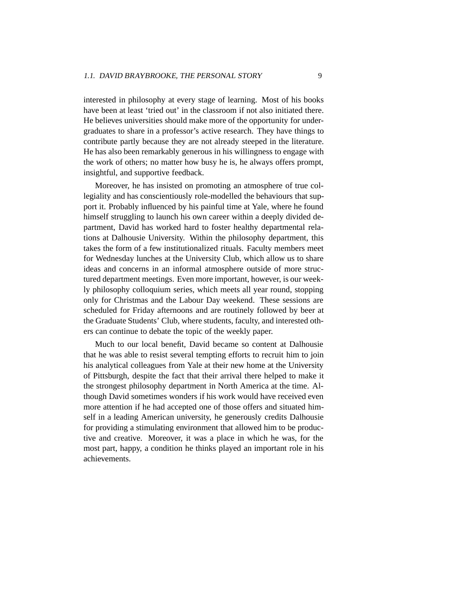interested in philosophy at every stage of learning. Most of his books have been at least 'tried out' in the classroom if not also initiated there. He believes universities should make more of the opportunity for undergraduates to share in a professor's active research. They have things to contribute partly because they are not already steeped in the literature. He has also been remarkably generous in his willingness to engage with the work of others; no matter how busy he is, he always offers prompt, insightful, and supportive feedback.

Moreover, he has insisted on promoting an atmosphere of true collegiality and has conscientiously role-modelled the behaviours that support it. Probably influenced by his painful time at Yale, where he found himself struggling to launch his own career within a deeply divided department, David has worked hard to foster healthy departmental relations at Dalhousie University. Within the philosophy department, this takes the form of a few institutionalized rituals. Faculty members meet for Wednesday lunches at the University Club, which allow us to share ideas and concerns in an informal atmosphere outside of more structured department meetings. Even more important, however, is our weekly philosophy colloquium series, which meets all year round, stopping only for Christmas and the Labour Day weekend. These sessions are scheduled for Friday afternoons and are routinely followed by beer at the Graduate Students' Club, where students, faculty, and interested others can continue to debate the topic of the weekly paper.

Much to our local benefit, David became so content at Dalhousie that he was able to resist several tempting efforts to recruit him to join his analytical colleagues from Yale at their new home at the University of Pittsburgh, despite the fact that their arrival there helped to make it the strongest philosophy department in North America at the time. Although David sometimes wonders if his work would have received even more attention if he had accepted one of those offers and situated himself in a leading American university, he generously credits Dalhousie for providing a stimulating environment that allowed him to be productive and creative. Moreover, it was a place in which he was, for the most part, happy, a condition he thinks played an important role in his achievements.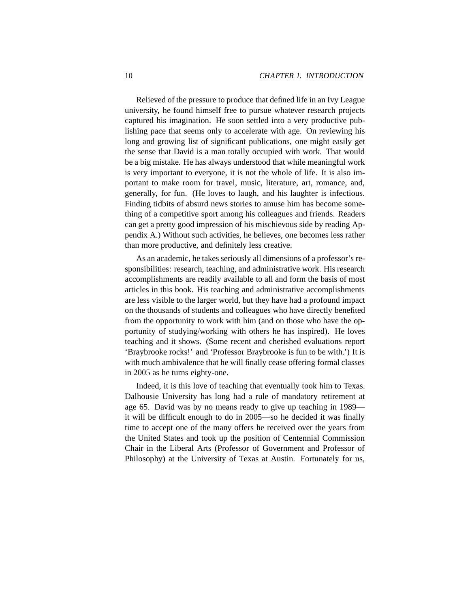Relieved of the pressure to produce that defined life in an Ivy League university, he found himself free to pursue whatever research projects captured his imagination. He soon settled into a very productive publishing pace that seems only to accelerate with age. On reviewing his long and growing list of significant publications, one might easily get the sense that David is a man totally occupied with work. That would be a big mistake. He has always understood that while meaningful work is very important to everyone, it is not the whole of life. It is also important to make room for travel, music, literature, art, romance, and, generally, for fun. (He loves to laugh, and his laughter is infectious. Finding tidbits of absurd news stories to amuse him has become something of a competitive sport among his colleagues and friends. Readers can get a pretty good impression of his mischievous side by reading Appendix A.) Without such activities, he believes, one becomes less rather than more productive, and definitely less creative.

As an academic, he takes seriously all dimensions of a professor's responsibilities: research, teaching, and administrative work. His research accomplishments are readily available to all and form the basis of most articles in this book. His teaching and administrative accomplishments are less visible to the larger world, but they have had a profound impact on the thousands of students and colleagues who have directly benefited from the opportunity to work with him (and on those who have the opportunity of studying/working with others he has inspired). He loves teaching and it shows. (Some recent and cherished evaluations report 'Braybrooke rocks!' and 'Professor Braybrooke is fun to be with.') It is with much ambivalence that he will finally cease offering formal classes in 2005 as he turns eighty-one.

Indeed, it is this love of teaching that eventually took him to Texas. Dalhousie University has long had a rule of mandatory retirement at age 65. David was by no means ready to give up teaching in 1989 it will be difficult enough to do in 2005—so he decided it was finally time to accept one of the many offers he received over the years from the United States and took up the position of Centennial Commission Chair in the Liberal Arts (Professor of Government and Professor of Philosophy) at the University of Texas at Austin. Fortunately for us,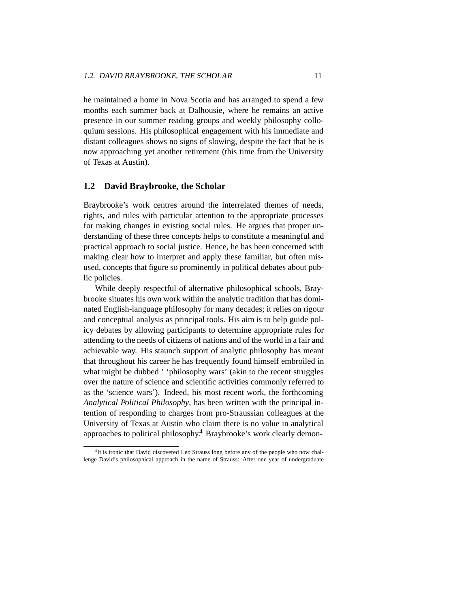he maintained a home in Nova Scotia and has arranged to spend a few months each summer back at Dalhousie, where he remains an active presence in our summer reading groups and weekly philosophy colloquium sessions. His philosophical engagement with his immediate and distant colleagues shows no signs of slowing, despite the fact that he is now approaching yet another retirement (this time from the University of Texas at Austin).

### **1.2 David Braybrooke, the Scholar**

Braybrooke's work centres around the interrelated themes of needs, rights, and rules with particular attention to the appropriate processes for making changes in existing social rules. He argues that proper understanding of these three concepts helps to constitute a meaningful and practical approach to social justice. Hence, he has been concerned with making clear how to interpret and apply these familiar, but often misused, concepts that figure so prominently in political debates about public policies.

While deeply respectful of alternative philosophical schools, Braybrooke situates his own work within the analytic tradition that has dominated English-language philosophy for many decades; it relies on rigour and conceptual analysis as principal tools. His aim is to help guide policy debates by allowing participants to determine appropriate rules for attending to the needs of citizens of nations and of the world in a fair and achievable way. His staunch support of analytic philosophy has meant that throughout his career he has frequently found himself embroiled in what might be dubbed ' 'philosophy wars' (akin to the recent struggles over the nature of science and scientific activities commonly referred to as the 'science wars'). Indeed, his most recent work, the forthcoming *Analytical Political Philosophy*, has been written with the principal intention of responding to charges from pro-Straussian colleagues at the University of Texas at Austin who claim there is no value in analytical approaches to political philosophy.4 Braybrooke's work clearly demon-

<sup>&</sup>lt;sup>4</sup>It is ironic that David discovered Leo Strauss long before any of the people who now challenge David's philosophical approach in the name of Strauss: After one year of undergraduate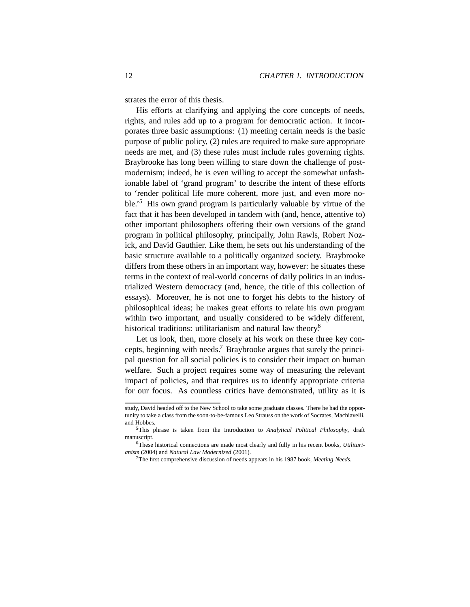strates the error of this thesis.

His efforts at clarifying and applying the core concepts of needs, rights, and rules add up to a program for democratic action. It incorporates three basic assumptions: (1) meeting certain needs is the basic purpose of public policy, (2) rules are required to make sure appropriate needs are met, and (3) these rules must include rules governing rights. Braybrooke has long been willing to stare down the challenge of postmodernism; indeed, he is even willing to accept the somewhat unfashionable label of 'grand program' to describe the intent of these efforts to 'render political life more coherent, more just, and even more noble.'5 His own grand program is particularly valuable by virtue of the fact that it has been developed in tandem with (and, hence, attentive to) other important philosophers offering their own versions of the grand program in political philosophy, principally, John Rawls, Robert Nozick, and David Gauthier. Like them, he sets out his understanding of the basic structure available to a politically organized society. Braybrooke differs from these others in an important way, however: he situates these terms in the context of real-world concerns of daily politics in an industrialized Western democracy (and, hence, the title of this collection of essays). Moreover, he is not one to forget his debts to the history of philosophical ideas; he makes great efforts to relate his own program within two important, and usually considered to be widely different, historical traditions: utilitarianism and natural law theory.<sup>6</sup>

Let us look, then, more closely at his work on these three key concepts, beginning with needs.<sup>7</sup> Braybrooke argues that surely the principal question for all social policies is to consider their impact on human welfare. Such a project requires some way of measuring the relevant impact of policies, and that requires us to identify appropriate criteria for our focus. As countless critics have demonstrated, utility as it is

study, David headed off to the New School to take some graduate classes. There he had the opportunity to take a class from the soon-to-be-famous Leo Strauss on the work of Socrates, Machiavelli, and Hobbes.

<sup>5</sup>This phrase is taken from the Introduction to *Analytical Political Philosophy*, draft manuscript.

<sup>6</sup>These historical connections are made most clearly and fully in his recent books, *Utilitarianism* (2004) and *Natural Law Modernized* (2001).

<sup>7</sup>The first comprehensive discussion of needs appears in his 1987 book, *Meeting Needs*.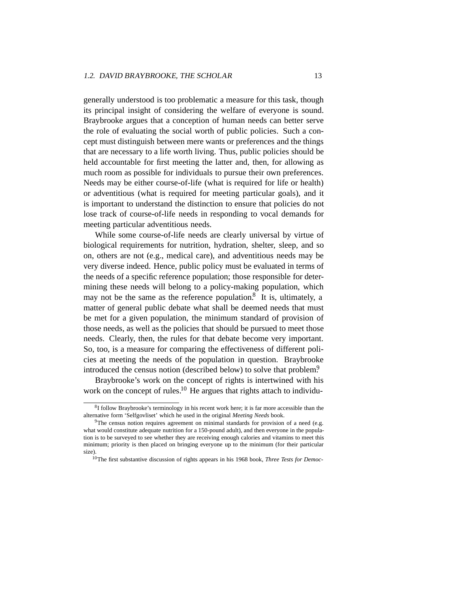generally understood is too problematic a measure for this task, though its principal insight of considering the welfare of everyone is sound. Braybrooke argues that a conception of human needs can better serve the role of evaluating the social worth of public policies. Such a concept must distinguish between mere wants or preferences and the things that are necessary to a life worth living. Thus, public policies should be held accountable for first meeting the latter and, then, for allowing as much room as possible for individuals to pursue their own preferences. Needs may be either course-of-life (what is required for life or health) or adventitious (what is required for meeting particular goals), and it is important to understand the distinction to ensure that policies do not lose track of course-of-life needs in responding to vocal demands for meeting particular adventitious needs.

While some course-of-life needs are clearly universal by virtue of biological requirements for nutrition, hydration, shelter, sleep, and so on, others are not (e.g., medical care), and adventitious needs may be very diverse indeed. Hence, public policy must be evaluated in terms of the needs of a specific reference population; those responsible for determining these needs will belong to a policy-making population, which may not be the same as the reference population.<sup>8</sup> It is, ultimately, a matter of general public debate what shall be deemed needs that must be met for a given population, the minimum standard of provision of those needs, as well as the policies that should be pursued to meet those needs. Clearly, then, the rules for that debate become very important. So, too, is a measure for comparing the effectiveness of different policies at meeting the needs of the population in question. Braybrooke introduced the census notion (described below) to solve that problem.<sup>9</sup>

Braybrooke's work on the concept of rights is intertwined with his work on the concept of rules.<sup>10</sup> He argues that rights attach to individu-

<sup>&</sup>lt;sup>8</sup>I follow Braybrooke's terminology in his recent work here; it is far more accessible than the alternative form 'Selfgovliset' which he used in the original *Meeting Needs* book.

<sup>&</sup>lt;sup>9</sup>The census notion requires agreement on minimal standards for provision of a need (e.g. what would constitute adequate nutrition for a 150-pound adult), and then everyone in the population is to be surveyed to see whether they are receiving enough calories and vitamins to meet this minimum; priority is then placed on bringing everyone up to the minimum (for their particular size).

<sup>10</sup>The first substantive discussion of rights appears in his 1968 book, *Three Tests for Democ-*